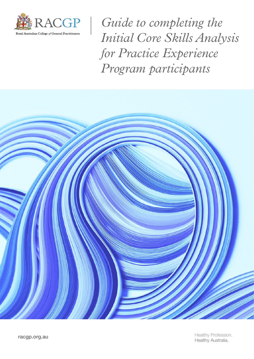

*Guide to completing the Initial Core Skills Analysis for Practice Experience Program participants*

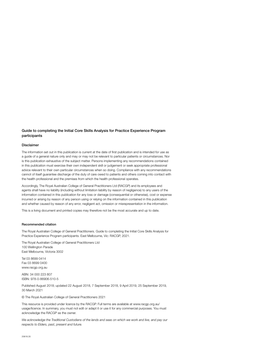#### Guide to completing the Initial Core Skills Analysis for Practice Experience Program participants

#### Disclaimer

The information set out in this publication is current at the date of first publication and is intended for use as a guide of a general nature only and may or may not be relevant to particular patients or circumstances. Nor is this publication exhaustive of the subject matter. Persons implementing any recommendations contained in this publication must exercise their own independent skill or judgement or seek appropriate professional advice relevant to their own particular circumstances when so doing. Compliance with any recommendations cannot of itself guarantee discharge of the duty of care owed to patients and others coming into contact with the health professional and the premises from which the health professional operates.

Accordingly, The Royal Australian College of General Practitioners Ltd (RACGP) and its employees and agents shall have no liability (including without limitation liability by reason of negligence) to any users of the information contained in this publication for any loss or damage (consequential or otherwise), cost or expense incurred or arising by reason of any person using or relying on the information contained in this publication and whether caused by reason of any error, negligent act, omission or misrepresentation in the information.

This is a living document and printed copies may therefore not be the most accurate and up to date.

#### Recommended citation

The Royal Australian College of General Practitioners. Guide to completing the Initial Core Skills Analysis for Practice Experience Program participants. East Melbourne, Vic: RACGP, 2021.

The Royal Australian College of General Practitioners Ltd 100 Wellington Parade East Melbourne, Victoria 3002

Tel 03 8699 0414 Fax 03 8699 0400 www.racgp.org.au

ABN: 34 000 223 807 ISBN: 978-0-86906-510-5

Published August 2018; updated 22 August 2018, 7 September 2018, 9 April 2019, 25 September 2019, 30 March 2021

© The Royal Australian College of General Practitioners 2021

This resource is provided under licence by the RACGP. Full terms are available at [www.racgp.org.au/](http://www.racgp.org.au/usage/licence) [usage/licence](http://www.racgp.org.au/usage/licence). In summary, you must not edit or adapt it or use it for any commercial purposes. You must acknowledge the RACGP as the owner.

*We acknowledge the Traditional Custodians of the lands and seas on which we work and live, and pay our respects to Elders, past, present and future.*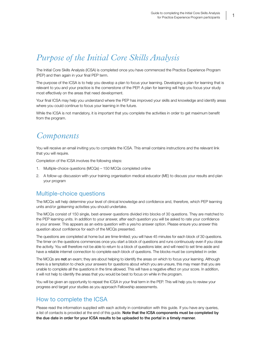## *Purpose of the Initial Core Skills Analysis*

The Initial Core Skills Analysis (ICSA) is completed once you have commenced the Practice Experience Program (PEP) and then again in your final PEP term.

The purpose of the ICSA is to help you develop a plan to focus your learning. Developing a plan for learning that is relevant to you and your practice is the cornerstone of the PEP. A plan for learning will help you focus your study most effectively on the areas that need development.

Your final ICSA may help you understand where the PEP has improved your skills and knowledge and identify areas where you could continue to focus your learning in the future.

While the ICSA is not mandatory, it is important that you complete the activities in order to get maximum benefit from the program.

## *Components*

You will receive an email inviting you to complete the ICSA. This email contains instructions and the relevant link that you will require.

Completion of the ICSA involves the following steps:

- 1. Multiple-choice questions (MCQs) 150 MCQs completed online
- 2. A follow-up discussion with your training organisation medical educator (ME) to discuss your results and plan your program

### Multiple-choice questions

The MCQs will help determine your level of clinical knowledge and confidence and, therefore, which PEP learning units and/or *gplearning* activities you should undertake.

The MCQs consist of 150 single, best-answer questions divided into blocks of 30 questions. They are matched to the PEP learning units. In addition to your answer, after each question you will be asked to rate your confidence in your answer. This appears as an extra question with a yes/no answer option. Please ensure you answer this question about confidence for each of the MCQs presented.

The questions are completed at home but are time-limited; you will have 45 minutes for each block of 30 questions. The timer on the questions commences once you start a block of questions and runs continuously even if you close the activity. You will therefore not be able to return to a block of questions later, and will need to set time aside and have a reliable internet connection to complete each block of questions. The blocks must be completed in order.

The MCQs are not an exam; they are about helping to identify the areas on which to focus your learning. Although there is a temptation to check your answers for questions about which you are unsure, this may mean that you are unable to complete all the questions in the time allowed. This will have a negative effect on your score. In addition, it will not help to identify the areas that you would be best to focus on while in the program.

You will be given an opportunity to repeat the ICSA in your final term in the PEP. This will help you to review your progress and target your studies as you approach Fellowship assessments.

### How to complete the ICSA

Please read the information supplied with each activity in combination with this guide. If you have any queries, a list of contacts is provided at the end of this guide. Note that the ICSA components must be completed by the due date in order for your ICSA results to be uploaded to the portal in a timely manner.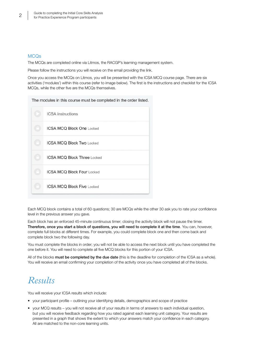### **MCO<sub>s</sub>**

The MCQs are completed online via Litmos, the RACGP's learning management system.

Please follow the instructions you will receive on the email providing the link.

Once you access the MCQs on Litmos, you will be presented with the ICSA MCQ course page. There are six activities ('modules') within this course (refer to image below). The first is the instructions and checklist for the ICSA MCQs, while the other five are the MCQs themselves.

The modules in this course must be completed in the order listed.

| <b>ICSA</b> instructions           |
|------------------------------------|
| <b>ICSA MCQ Block One Locked</b>   |
| <b>ICSA MCO Block Two Locked</b>   |
| <b>ICSA MCQ Block Three Locked</b> |
| <b>ICSA MCQ Block Four Locked</b>  |
| <b>ICSA MCQ Block Five Locked</b>  |

Each MCQ block contains a total of 60 questions; 30 are MCQs while the other 30 ask you to rate your confidence level in the previous answer you gave.

Each block has an enforced 45-minute continuous timer; closing the activity block will not pause the timer. Therefore, once you start a block of questions, you will need to complete it at the time. You can, however, complete full blocks at different times. For example, you could complete block one and then come back and complete block two the following day.

You must complete the blocks in order; you will not be able to access the next block until you have completed the one before it. You will need to complete all five MCQ blocks for this portion of your ICSA.

All of the blocks must be completed by the due date (this is the deadline for completion of the ICSA as a whole). You will receive an email confirming your completion of the activity once you have completed all of the blocks.

## *Results*

You will receive your ICSA results which include:

- your participant profile outlining your identifying details, demographics and scope of practice
- your MCQ results you will not receive all of your results in terms of answers to each individual question, but you will receive feedback regarding how you rated against each learning unit category. Your results are presented in a graph that shows the extent to which your answers match your confidence in each category. All are matched to the non-core learning units.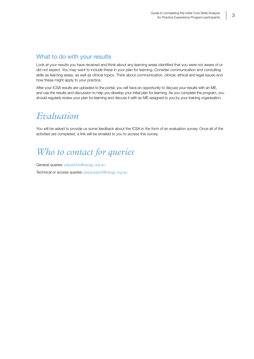### What to do with your results

Look at your results you have received and think about any learning areas identified that you were not aware of or did not expect. You may want to include these in your plan for learning. Consider communication and consulting skills as learning areas, as well as clinical topics. Think about communication, clinical, ethical and legal issues and how these might apply to your practice.

After your ICSA results are uploaded to the portal, you will have an opportunity to discuss your results with an ME, and use the results and discussion to help you develop your initial plan for learning. As you complete the program, you should regularly review your plan for learning and discuss it with an ME assigned to you by your training organisation.

## *Evaluation*

You will be asked to provide us some feedback about the ICSA in the form of an evaluation survey. Once all of the activities are completed, a link will be emailed to you to access this survey.

# *Who to contact for queries*

General queries: [pepadmin@racgp.org.au](mailto:pepadmin%40racgp.org.au?subject=) Technical or access queries: [pepsupport@racgp.org.au](mailto:pepsupport@racgp.org.au)